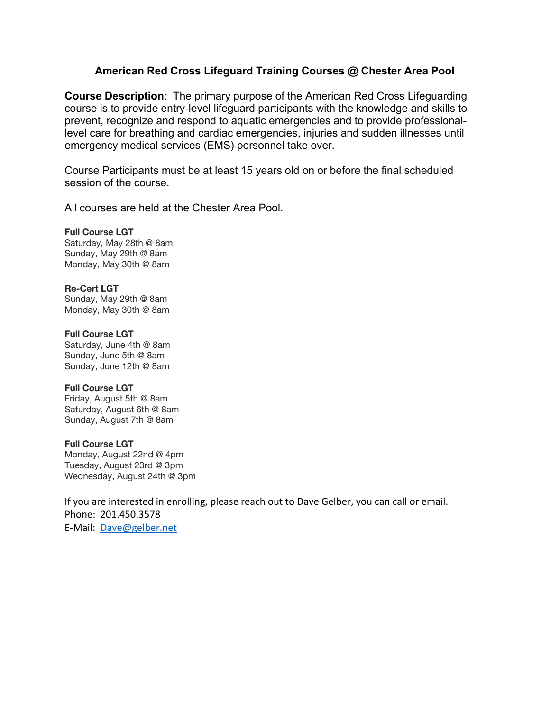## **American Red Cross Lifeguard Training Courses @ Chester Area Pool**

**Course Description**: The primary purpose of the American Red Cross Lifeguarding course is to provide entry-level lifeguard participants with the knowledge and skills to prevent, recognize and respond to aquatic emergencies and to provide professionallevel care for breathing and cardiac emergencies, injuries and sudden illnesses until emergency medical services (EMS) personnel take over.

Course Participants must be at least 15 years old on or before the final scheduled session of the course.

All courses are held at the Chester Area Pool.

**Full Course LGT** Saturday, May 28th @ 8am Sunday, May 29th @ 8am Monday, May 30th @ 8am

**Re-Cert LGT** Sunday, May 29th @ 8am Monday, May 30th @ 8am

**Full Course LGT** Saturday, June 4th @ 8am Sunday, June 5th @ 8am Sunday, June 12th @ 8am

## **Full Course LGT**

Friday, August 5th @ 8am Saturday, August 6th @ 8am Sunday, August 7th @ 8am

## **Full Course LGT**

Monday, August 22nd @ 4pm Tuesday, August 23rd @ 3pm Wednesday, August 24th @ 3pm

If you are interested in enrolling, please reach out to Dave Gelber, you can call or email. Phone: 201.450.3578 E-Mail: Dave@gelber.net